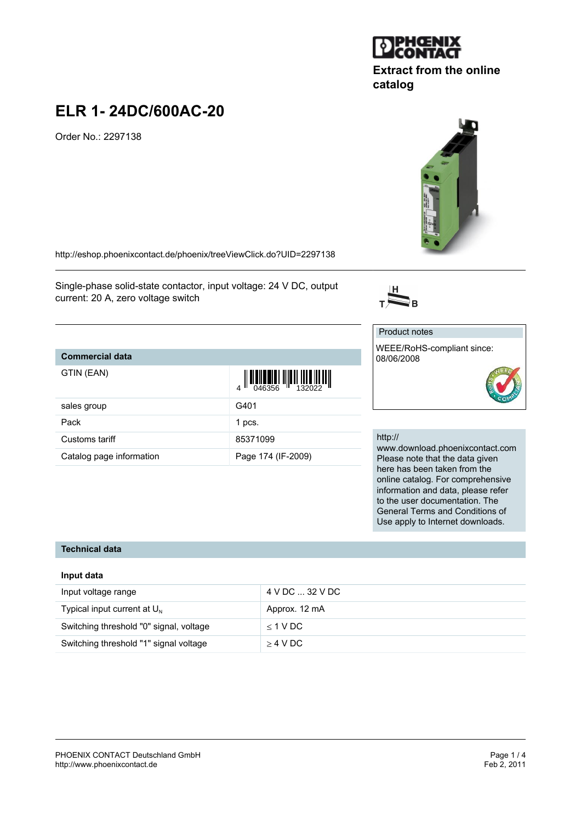#### PHOENIX CONTACT Deutschland GmbH<br>
http://www.phoenixcontact.de<br>
Feb 2, 2011 <http://www.phoenixcontact.de>

# **ELR 1- 24DC/600AC-20**

Order No.: 2297138

<http://eshop.phoenixcontact.de/phoenix/treeViewClick.do?UID=2297138>

Single-phase solid-state contactor, input voltage: 24 V DC, output current: 20 A, zero voltage switch

## **Commercial data**

| GTIN (EAN)               | $\left\  \prod_{046356} \right\  \left\  \prod_{132022} \right\ $ |
|--------------------------|-------------------------------------------------------------------|
| sales group              | G401                                                              |
| Pack                     | 1 pcs.                                                            |
| Customs tariff           | 85371099                                                          |
| Catalog page information | Page 174 (IF-2009)                                                |

#### http://

Product notes

08/06/2008

 $\overline{\sum}_{\mathrm{B}}$ 

www.download.phoenixcontact.com Please note that the data given here has been taken from the online catalog. For comprehensive information and data, please refer to the user documentation. The General Terms and Conditions of Use apply to Internet downloads.

## **Technical data**

#### **Input data**

| Input voltage range                     | 4 V DC  32 V DC |
|-----------------------------------------|-----------------|
| Typical input current at $U_N$          | Approx. 12 mA   |
| Switching threshold "0" signal, voltage | $<$ 1 V DC      |
| Switching threshold "1" signal voltage  | $>4$ V DC       |





**Extract from the online**

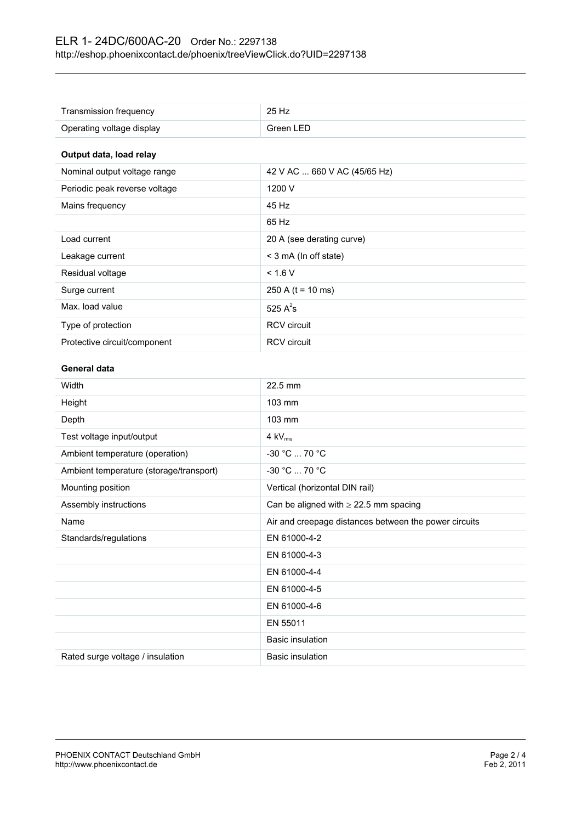| Transmission frequency                  | 25 Hz                                                 |
|-----------------------------------------|-------------------------------------------------------|
| Operating voltage display               | Green LED                                             |
|                                         |                                                       |
| Output data, load relay                 |                                                       |
| Nominal output voltage range            | 42 V AC  660 V AC (45/65 Hz)                          |
| Periodic peak reverse voltage           | 1200 V                                                |
| Mains frequency                         | 45 Hz                                                 |
|                                         | 65 Hz                                                 |
| Load current                            | 20 A (see derating curve)                             |
| Leakage current                         | < 3 mA (In off state)                                 |
| Residual voltage                        | < 1.6 V                                               |
| Surge current                           | 250 A ( $t = 10$ ms)                                  |
| Max. load value                         | 525 $A^2$ s                                           |
| Type of protection                      | <b>RCV</b> circuit                                    |
| Protective circuit/component            | <b>RCV</b> circuit                                    |
| General data                            |                                                       |
| Width                                   | 22.5 mm                                               |
| Height                                  | 103 mm                                                |
| Depth                                   | 103 mm                                                |
| Test voltage input/output               | $4$ kV $_{rms}$                                       |
| Ambient temperature (operation)         | -30 °C  70 °C                                         |
| Ambient temperature (storage/transport) | -30 °C  70 °C                                         |
| Mounting position                       | Vertical (horizontal DIN rail)                        |
| Assembly instructions                   | Can be aligned with $\geq$ 22.5 mm spacing            |
| Name                                    | Air and creepage distances between the power circuits |
| Standards/regulations                   | EN 61000-4-2                                          |
|                                         | EN 61000-4-3                                          |
|                                         | EN 61000-4-4                                          |
|                                         | EN 61000-4-5                                          |
|                                         | EN 61000-4-6                                          |
|                                         | EN 55011                                              |
|                                         | <b>Basic insulation</b>                               |
| Rated surge voltage / insulation        | <b>Basic insulation</b>                               |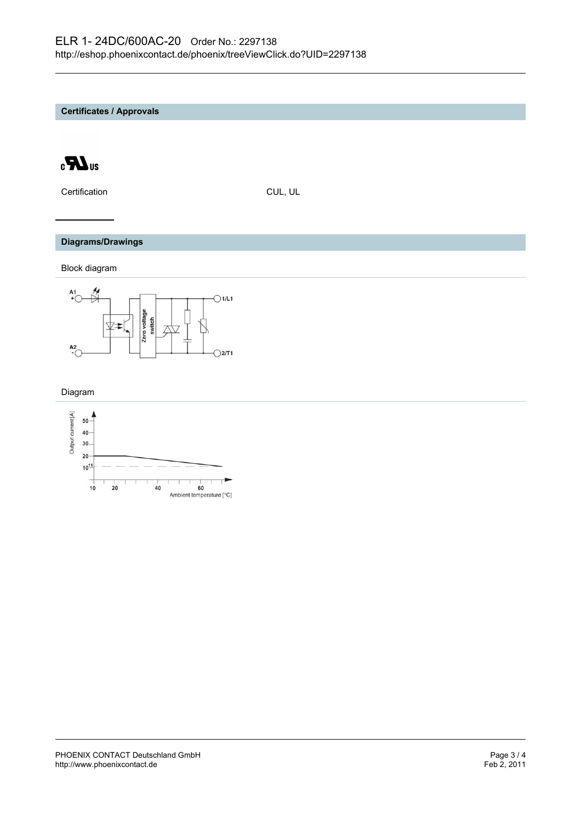**Certificates / Approvals**



Certification CUL, UL

#### **Diagrams/Drawings**

Block diagram



Diagram